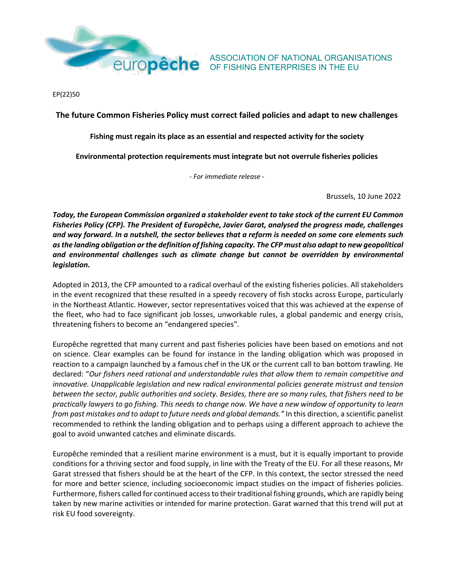

EP(22)50

**The future Common Fisheries Policy must correct failed policies and adapt to new challenges**

**Fishing must regain its place as an essential and respected activity for the society**

**Environmental protection requirements must integrate but not overrule fisheries policies**

*- For immediate release -*

Brussels, 10 June 2022

*Today, the European Commission organized a stakeholder event to take stock of the current EU Common Fisheries Policy (CFP). The President of Europêche, Javier Garat, analysed the progress made, challenges and way forward. In a nutshell, the sector believes that a reform is needed on some core elements such asthe landing obligation orthe definition of fishing capacity. The CFP must also adapt to new geopolitical and environmental challenges such as climate change but cannot be overridden by environmental legislation.*

Adopted in 2013, the CFP amounted to a radical overhaul of the existing fisheries policies. All stakeholders in the event recognized that these resulted in a speedy recovery of fish stocks across Europe, particularly in the Northeast Atlantic. However, sector representatives voiced that this was achieved at the expense of the fleet, who had to face significant job losses, unworkable rules, a global pandemic and energy crisis, threatening fishers to become an "endangered species".

Europêche regretted that many current and past fisheries policies have been based on emotions and not on science. Clear examples can be found for instance in the landing obligation which was proposed in reaction to a campaign launched by a famous chef in the UK or the current call to ban bottom trawling. He declared: "*Our fishers need rational and understandable rules that allow them to remain competitive and innovative. Unapplicable legislation and new radical environmental policies generate mistrust and tension between the sector, public authorities and society. Besides, there are so many rules, that fishers need to be practically lawyers to go fishing. This needs to change now. We have a new window of opportunity to learn from past mistakes and to adapt to future needs and global demands."* In this direction, a scientific panelist recommended to rethink the landing obligation and to perhaps using a different approach to achieve the goal to avoid unwanted catches and eliminate discards.

Europêche reminded that a resilient marine environment is a must, but it is equally important to provide conditions for a thriving sector and food supply, in line with the Treaty of the EU. For all these reasons, Mr Garat stressed that fishers should be at the heart of the CFP. In this context, the sector stressed the need for more and better science, including socioeconomic impact studies on the impact of fisheries policies. Furthermore, fishers called for continued access to their traditional fishing grounds, which are rapidly being taken by new marine activities or intended for marine protection. Garat warned that this trend will put at risk EU food sovereignty.